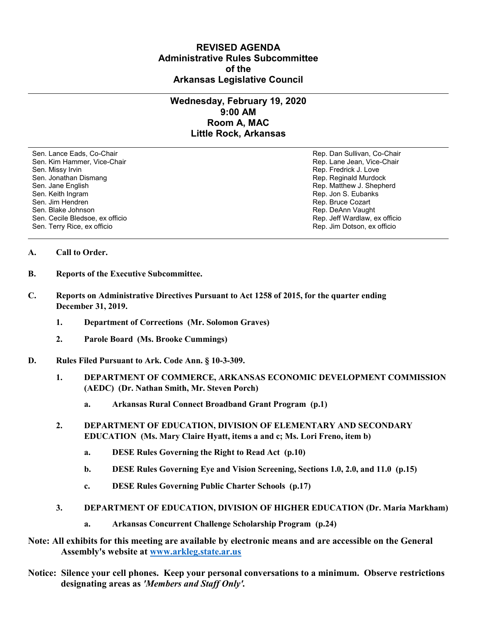## **REVISED AGENDA Administrative Rules Subcommittee of the Arkansas Legislative Council**

## **Wednesday, February 19, 2020 9:00 AM Room A, MAC Little Rock, Arkansas**

Sen. Lance Eads, Co-Chair Rep. Dan Sullivan, Co-Chair Sen. Kim Hammer, Vice-Chair **Rep. Lane Jean, Vice-Chair** Rep. Lane Jean, Vice-Chair Sen. Missy Irvin New York 1, 2008 and the sense of the sense of the Sense of Technical Sense of Technical Australian Sense of Technical Australian Sense of Technical Australian Sense of Technical Australian Sense of Techni Sen. Jonathan Dismang Rep. Reginald Murdock Sen. Jane English Rep. Matthew J. Shepherd Rep. Matthew J. Shepherd Sen. Keith Ingram Rep. Jon S. Eubanks (Sen. Keith Ingram Rep. Jon S. Eubanks (Sen. Jon S. Eubanks (Sen. Jon S. Eubanks (Sen. Jon S. Eubanks (Sen. Jon S. Eubanks (Sen. Jon S. Eubanks (Sen. Jon S. Eubanks (Sen. Jon S. Eubank Sen. Blake Johnson (Sen. 1999)<br>Sen. Cecile Bledsoe, ex officio (Sen. 1999)<br>Sen. Cecile Bledsoe, ex officio (Sen. 1999) Sen. Cecile Bledsoe, ex officio Sen. Terry Rice, ex officio Rep. Jim Dotson, ex officio

Rep. Bruce Cozart

## **A. Call to Order.**

- **B. Reports of the Executive Subcommittee.**
- **C. Reports on Administrative Directives Pursuant to Act 1258 of 2015, for the quarter ending December 31, 2019.**
	- **1. Department of Corrections (Mr. Solomon Graves)**
	- **2. Parole Board (Ms. Brooke Cummings)**
- **D. Rules Filed Pursuant to Ark. Code Ann. § 10-3-309.**
	- **1. DEPARTMENT OF COMMERCE, ARKANSAS ECONOMIC DEVELOPMENT COMMISSION (AEDC) (Dr. Nathan Smith, Mr. Steven Porch)**
		- **a. Arkansas Rural Connect Broadband Grant Program (p.1)**
	- **2. DEPARTMENT OF EDUCATION, DIVISION OF ELEMENTARY AND SECONDARY EDUCATION (Ms. Mary Claire Hyatt, items a and c; Ms. Lori Freno, item b)**
		- **a. DESE Rules Governing the Right to Read Act (p.10)**
		- **b. DESE Rules Governing Eye and Vision Screening, Sections 1.0, 2.0, and 11.0 (p.15)**
		- **c. DESE Rules Governing Public Charter Schools (p.17)**
	- **3. DEPARTMENT OF EDUCATION, DIVISION OF HIGHER EDUCATION (Dr. Maria Markham)**
		- **a. Arkansas Concurrent Challenge Scholarship Program (p.24)**
- **Note: All exhibits for this meeting are available by electronic means and are accessible on the General Assembly's website at [www.arkleg.state.ar.us](http://www.arkleg.state.ar.us)**
- **Notice: Silence your cell phones. Keep your personal conversations to a minimum. Observe restrictions designating areas as** *'Members and Staff Only'.*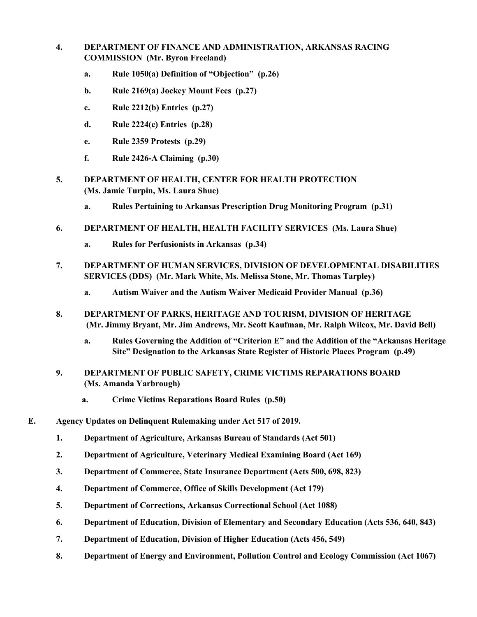- **4. DEPARTMENT OF FINANCE AND ADMINISTRATION, ARKANSAS RACING COMMISSION (Mr. Byron Freeland)**
	- **a. Rule 1050(a) Definition of "Objection" (p.26)**
	- **b. Rule 2169(a) Jockey Mount Fees (p.27)**
	- **c. Rule 2212(b) Entries (p.27)**
	- **d. Rule 2224(c) Entries (p.28)**
	- **e. Rule 2359 Protests (p.29)**
	- **f. Rule 2426-A Claiming (p.30)**
- **5. DEPARTMENT OF HEALTH, CENTER FOR HEALTH PROTECTION (Ms. Jamie Turpin, Ms. Laura Shue)**
	- **a. Rules Pertaining to Arkansas Prescription Drug Monitoring Program (p.31)**
- **6. DEPARTMENT OF HEALTH, HEALTH FACILITY SERVICES (Ms. Laura Shue)**
	- **a. Rules for Perfusionists in Arkansas (p.34)**
- **7. DEPARTMENT OF HUMAN SERVICES, DIVISION OF DEVELOPMENTAL DISABILITIES SERVICES (DDS) (Mr. Mark White, Ms. Melissa Stone, Mr. Thomas Tarpley)**
	- **a. Autism Waiver and the Autism Waiver Medicaid Provider Manual (p.36)**
- **8. DEPARTMENT OF PARKS, HERITAGE AND TOURISM, DIVISION OF HERITAGE (Mr. Jimmy Bryant, Mr. Jim Andrews, Mr. Scott Kaufman, Mr. Ralph Wilcox, Mr. David Bell)**
	- **a. Rules Governing the Addition of "Criterion E" and the Addition of the "Arkansas Heritage Site" Designation to the Arkansas State Register of Historic Places Program (p.49)**
- **9. DEPARTMENT OF PUBLIC SAFETY, CRIME VICTIMS REPARATIONS BOARD (Ms. Amanda Yarbrough)**
	- **a. Crime Victims Reparations Board Rules (p.50)**
- **E. Agency Updates on Delinquent Rulemaking under Act 517 of 2019.**
	- **1. Department of Agriculture, Arkansas Bureau of Standards (Act 501)**
	- **2. Department of Agriculture, Veterinary Medical Examining Board (Act 169)**
	- **3. Department of Commerce, State Insurance Department (Acts 500, 698, 823)**
	- **4. Department of Commerce, Office of Skills Development (Act 179)**
	- **5. Department of Corrections, Arkansas Correctional School (Act 1088)**
	- **6. Department of Education, Division of Elementary and Secondary Education (Acts 536, 640, 843)**
	- **7. Department of Education, Division of Higher Education (Acts 456, 549)**
	- **8. Department of Energy and Environment, Pollution Control and Ecology Commission (Act 1067)**